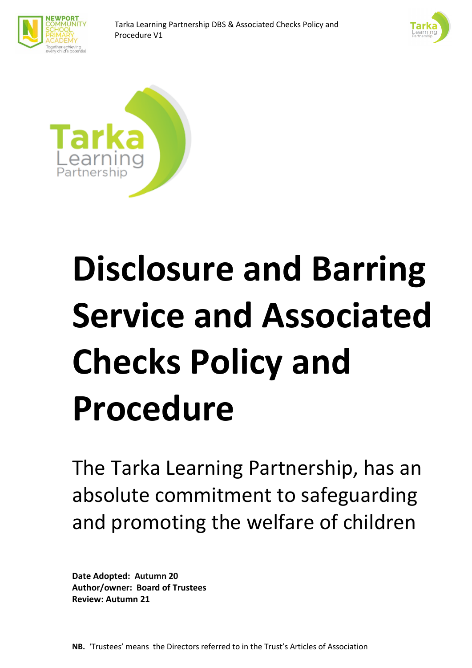





# **Disclosure and Barring Service and Associated Checks Policy and Procedure**

The Tarka Learning Partnership, has an absolute commitment to safeguarding and promoting the welfare of children

**Date Adopted: Autumn 20 Author/owner: Board of Trustees Review: Autumn 21**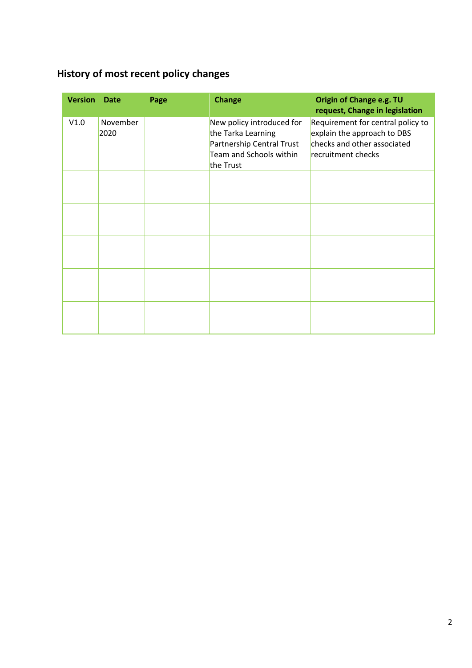# <span id="page-1-0"></span>**History of most recent policy changes**

| <b>Version</b> | <b>Date</b>      | Page | <b>Change</b>                                                                                                        | Origin of Change e.g. TU<br>request, Change in legislation                                                            |
|----------------|------------------|------|----------------------------------------------------------------------------------------------------------------------|-----------------------------------------------------------------------------------------------------------------------|
| V1.0           | November<br>2020 |      | New policy introduced for<br>the Tarka Learning<br>Partnership Central Trust<br>Team and Schools within<br>the Trust | Requirement for central policy to<br>explain the approach to DBS<br>checks and other associated<br>recruitment checks |
|                |                  |      |                                                                                                                      |                                                                                                                       |
|                |                  |      |                                                                                                                      |                                                                                                                       |
|                |                  |      |                                                                                                                      |                                                                                                                       |
|                |                  |      |                                                                                                                      |                                                                                                                       |
|                |                  |      |                                                                                                                      |                                                                                                                       |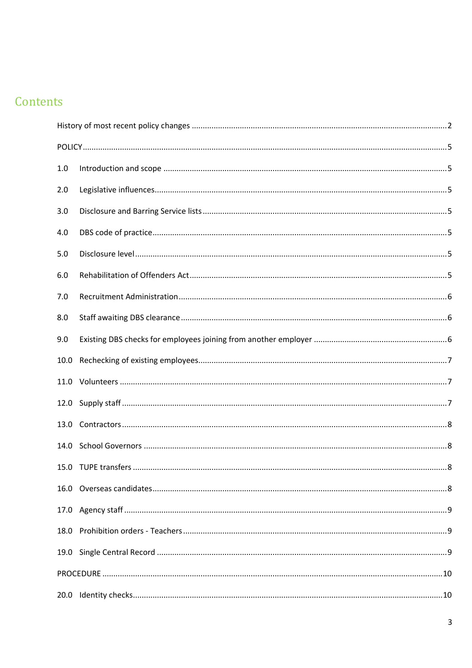# Contents

| 1.0  |  |  |  |  |
|------|--|--|--|--|
| 2.0  |  |  |  |  |
| 3.0  |  |  |  |  |
| 4.0  |  |  |  |  |
| 5.0  |  |  |  |  |
| 6.0  |  |  |  |  |
| 7.0  |  |  |  |  |
| 8.0  |  |  |  |  |
| 9.0  |  |  |  |  |
| 10.0 |  |  |  |  |
|      |  |  |  |  |
|      |  |  |  |  |
|      |  |  |  |  |
| 14.0 |  |  |  |  |
|      |  |  |  |  |
|      |  |  |  |  |
|      |  |  |  |  |
| 18.0 |  |  |  |  |
|      |  |  |  |  |
|      |  |  |  |  |
|      |  |  |  |  |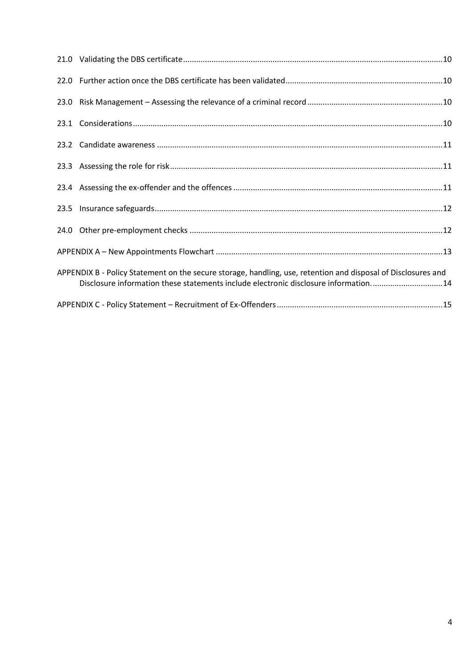|  | APPENDIX B - Policy Statement on the secure storage, handling, use, retention and disposal of Disclosures and<br>Disclosure information these statements include electronic disclosure information14 |  |  |  |
|--|------------------------------------------------------------------------------------------------------------------------------------------------------------------------------------------------------|--|--|--|
|  |                                                                                                                                                                                                      |  |  |  |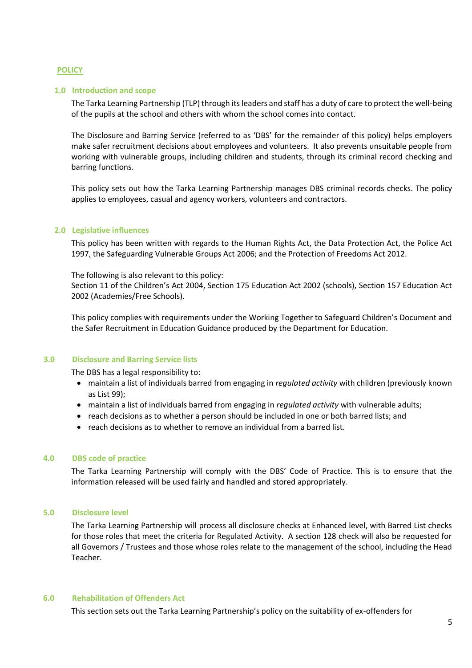## <span id="page-4-0"></span>**POLICY**

#### <span id="page-4-1"></span>**1.0 Introduction and scope**

The Tarka Learning Partnership (TLP) through its leaders and staff has a duty of care to protect the well-being of the pupils at the school and others with whom the school comes into contact.

The Disclosure and Barring Service (referred to as 'DBS' for the remainder of this policy) helps employers make safer recruitment decisions about employees and volunteers. It also prevents unsuitable people from working with vulnerable groups, including children and students, through its criminal record checking and barring functions.

This policy sets out how the Tarka Learning Partnership manages DBS criminal records checks. The policy applies to employees, casual and agency workers, volunteers and contractors.

#### <span id="page-4-2"></span>**2.0 Legislative influences**

This policy has been written with regards to the Human Rights Act, the Data Protection Act, the Police Act 1997, the Safeguarding Vulnerable Groups Act 2006; and the Protection of Freedoms Act 2012.

The following is also relevant to this policy:

Section 11 of the Children's Act 2004, Section 175 Education Act 2002 (schools), Section 157 Education Act 2002 (Academies/Free Schools).

This policy complies with requirements under the Working Together to Safeguard Children's Document and the Safer Recruitment in Education Guidance produced by the Department for Education.

#### <span id="page-4-3"></span>**3.0 Disclosure and Barring Service lists**

The DBS has a legal responsibility to:

- maintain a list of individuals barred from engaging in *regulated activity* with children (previously known as List 99);
- maintain a list of individuals barred from engaging in *regulated activity* with vulnerable adults;
- reach decisions as to whether a person should be included in one or both barred lists; and
- reach decisions as to whether to remove an individual from a barred list.

#### <span id="page-4-4"></span>**4.0 DBS code of practice**

The Tarka Learning Partnership will comply with the DBS' Code of Practice. This is to ensure that the information released will be used fairly and handled and stored appropriately.

#### <span id="page-4-5"></span>**5.0 Disclosure level**

The Tarka Learning Partnership will process all disclosure checks at Enhanced level, with Barred List checks for those roles that meet the criteria for Regulated Activity. A section 128 check will also be requested for all Governors / Trustees and those whose roles relate to the management of the school, including the Head Teacher.

#### <span id="page-4-6"></span>**6.0 Rehabilitation of Offenders Act**

This section sets out the Tarka Learning Partnership's policy on the suitability of ex-offenders for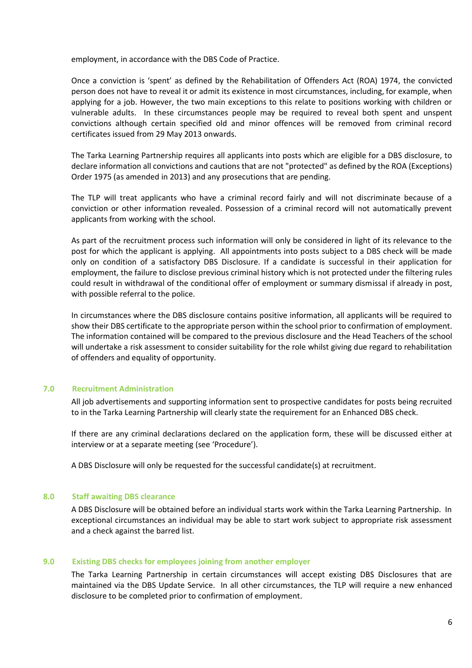employment, in accordance with the DBS Code of Practice.

Once a conviction is 'spent' as defined by the Rehabilitation of Offenders Act (ROA) 1974, the convicted person does not have to reveal it or admit its existence in most circumstances, including, for example, when applying for a job. However, the two main exceptions to this relate to positions working with children or vulnerable adults. In these circumstances people may be required to reveal both spent and unspent convictions although certain specified old and minor offences will be removed from criminal record certificates issued from 29 May 2013 onwards.

The Tarka Learning Partnership requires all applicants into posts which are eligible for a DBS disclosure, to declare information all convictions and cautions that are not "protected" as defined by the ROA (Exceptions) Order 1975 (as amended in 2013) and any prosecutions that are pending.

The TLP will treat applicants who have a criminal record fairly and will not discriminate because of a conviction or other information revealed. Possession of a criminal record will not automatically prevent applicants from working with the school.

As part of the recruitment process such information will only be considered in light of its relevance to the post for which the applicant is applying. All appointments into posts subject to a DBS check will be made only on condition of a satisfactory DBS Disclosure. If a candidate is successful in their application for employment, the failure to disclose previous criminal history which is not protected under the filtering rules could result in withdrawal of the conditional offer of employment or summary dismissal if already in post, with possible referral to the police.

In circumstances where the DBS disclosure contains positive information, all applicants will be required to show their DBS certificate to the appropriate person within the school prior to confirmation of employment. The information contained will be compared to the previous disclosure and the Head Teachers of the school will undertake a risk assessment to consider suitability for the role whilst giving due regard to rehabilitation of offenders and equality of opportunity.

# <span id="page-5-0"></span>**7.0 Recruitment Administration**

All job advertisements and supporting information sent to prospective candidates for posts being recruited to in the Tarka Learning Partnership will clearly state the requirement for an Enhanced DBS check.

If there are any criminal declarations declared on the application form, these will be discussed either at interview or at a separate meeting (see 'Procedure').

A DBS Disclosure will only be requested for the successful candidate(s) at recruitment.

# <span id="page-5-1"></span>**8.0 Staff awaiting DBS clearance**

A DBS Disclosure will be obtained before an individual starts work within the Tarka Learning Partnership. In exceptional circumstances an individual may be able to start work subject to appropriate risk assessment and a check against the barred list.

# <span id="page-5-2"></span>**9.0 Existing DBS checks for employees joining from another employer**

The Tarka Learning Partnership in certain circumstances will accept existing DBS Disclosures that are maintained via the DBS Update Service. In all other circumstances, the TLP will require a new enhanced disclosure to be completed prior to confirmation of employment.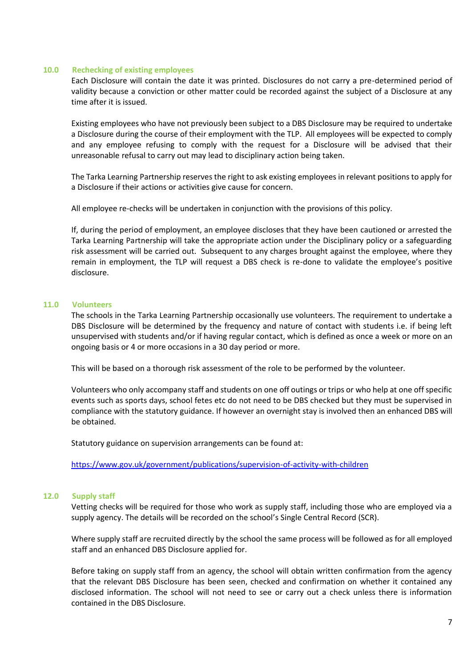#### <span id="page-6-0"></span>**10.0 Rechecking of existing employees**

Each Disclosure will contain the date it was printed. Disclosures do not carry a pre-determined period of validity because a conviction or other matter could be recorded against the subject of a Disclosure at any time after it is issued.

Existing employees who have not previously been subject to a DBS Disclosure may be required to undertake a Disclosure during the course of their employment with the TLP. All employees will be expected to comply and any employee refusing to comply with the request for a Disclosure will be advised that their unreasonable refusal to carry out may lead to disciplinary action being taken.

The Tarka Learning Partnership reserves the right to ask existing employees in relevant positions to apply for a Disclosure if their actions or activities give cause for concern.

All employee re-checks will be undertaken in conjunction with the provisions of this policy.

If, during the period of employment, an employee discloses that they have been cautioned or arrested the Tarka Learning Partnership will take the appropriate action under the Disciplinary policy or a safeguarding risk assessment will be carried out. Subsequent to any charges brought against the employee, where they remain in employment, the TLP will request a DBS check is re-done to validate the employee's positive disclosure.

#### <span id="page-6-1"></span>**11.0 Volunteers**

The schools in the Tarka Learning Partnership occasionally use volunteers. The requirement to undertake a DBS Disclosure will be determined by the frequency and nature of contact with students i.e. if being left unsupervised with students and/or if having regular contact, which is defined as once a week or more on an ongoing basis or 4 or more occasions in a 30 day period or more.

This will be based on a thorough risk assessment of the role to be performed by the volunteer.

Volunteers who only accompany staff and students on one off outings or trips or who help at one off specific events such as sports days, school fetes etc do not need to be DBS checked but they must be supervised in compliance with the statutory guidance. If however an overnight stay is involved then an enhanced DBS will be obtained.

Statutory guidance on supervision arrangements can be found at:

<https://www.gov.uk/government/publications/supervision-of-activity-with-children>

# <span id="page-6-2"></span>**12.0 Supply staff**

Vetting checks will be required for those who work as supply staff, including those who are employed via a supply agency. The details will be recorded on the school's Single Central Record (SCR).

Where supply staff are recruited directly by the school the same process will be followed as for all employed staff and an enhanced DBS Disclosure applied for.

Before taking on supply staff from an agency, the school will obtain written confirmation from the agency that the relevant DBS Disclosure has been seen, checked and confirmation on whether it contained any disclosed information. The school will not need to see or carry out a check unless there is information contained in the DBS Disclosure.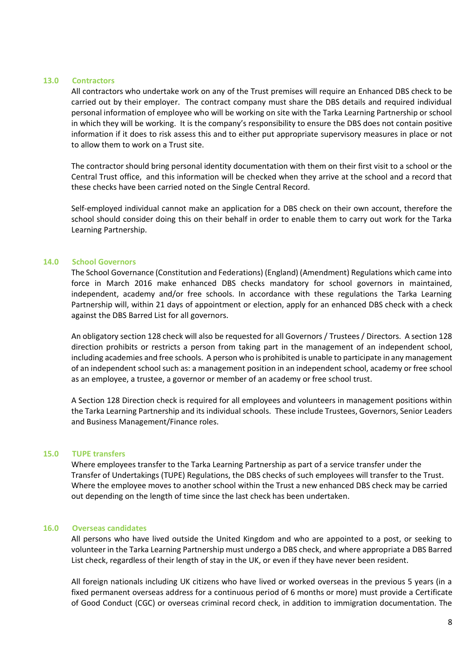#### <span id="page-7-0"></span>**13.0 Contractors**

All contractors who undertake work on any of the Trust premises will require an Enhanced DBS check to be carried out by their employer. The contract company must share the DBS details and required individual personal information of employee who will be working on site with the Tarka Learning Partnership or school in which they will be working. It is the company's responsibility to ensure the DBS does not contain positive information if it does to risk assess this and to either put appropriate supervisory measures in place or not to allow them to work on a Trust site.

The contractor should bring personal identity documentation with them on their first visit to a school or the Central Trust office, and this information will be checked when they arrive at the school and a record that these checks have been carried noted on the Single Central Record.

Self-employed individual cannot make an application for a DBS check on their own account, therefore the school should consider doing this on their behalf in order to enable them to carry out work for the Tarka Learning Partnership.

# <span id="page-7-1"></span>**14.0 School Governors**

The School Governance (Constitution and Federations) (England) (Amendment) Regulations which came into force in March 2016 make enhanced DBS checks mandatory for school governors in maintained, independent, academy and/or free schools. In accordance with these regulations the Tarka Learning Partnership will, within 21 days of appointment or election, apply for an enhanced DBS check with a check against the DBS Barred List for all governors.

An obligatory section 128 check will also be requested for all Governors / Trustees / Directors. A section 128 direction prohibits or restricts a person from taking part in the management of an independent school, including academies and free schools. A person who is prohibited is unable to participate in any management of an independent school such as: a management position in an independent school, academy or free school as an employee, a trustee, a governor or member of an academy or free school trust.

A Section 128 Direction check is required for all employees and volunteers in management positions within the Tarka Learning Partnership and its individual schools. These include Trustees, Governors, Senior Leaders and Business Management/Finance roles.

#### <span id="page-7-2"></span>**15.0 TUPE transfers**

Where employees transfer to the Tarka Learning Partnership as part of a service transfer under the Transfer of Undertakings (TUPE) Regulations, the DBS checks of such employees will transfer to the Trust. Where the employee moves to another school within the Trust a new enhanced DBS check may be carried out depending on the length of time since the last check has been undertaken.

#### <span id="page-7-3"></span>**16.0 Overseas candidates**

All persons who have lived outside the United Kingdom and who are appointed to a post, or seeking to volunteer in the Tarka Learning Partnership must undergo a DBS check, and where appropriate a DBS Barred List check, regardless of their length of stay in the UK, or even if they have never been resident.

All foreign nationals including UK citizens who have lived or worked overseas in the previous 5 years (in a fixed permanent overseas address for a continuous period of 6 months or more) must provide a Certificate of Good Conduct (CGC) or overseas criminal record check, in addition to immigration documentation. The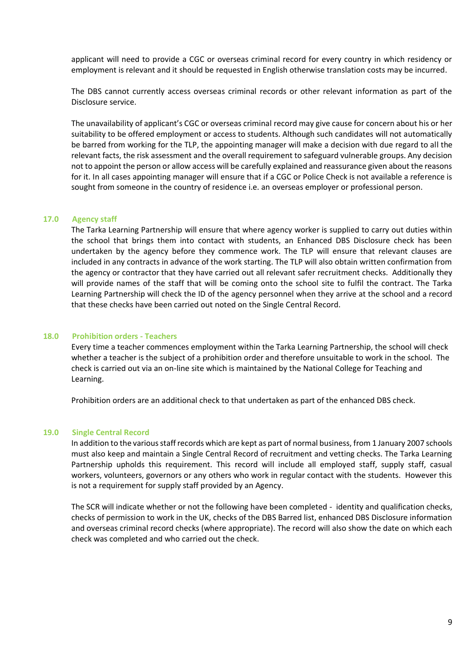applicant will need to provide a CGC or overseas criminal record for every country in which residency or employment is relevant and it should be requested in English otherwise translation costs may be incurred.

The DBS cannot currently access overseas criminal records or other relevant information as part of the Disclosure service.

The unavailability of applicant's CGC or overseas criminal record may give cause for concern about his or her suitability to be offered employment or access to students. Although such candidates will not automatically be barred from working for the TLP, the appointing manager will make a decision with due regard to all the relevant facts, the risk assessment and the overall requirement to safeguard vulnerable groups. Any decision not to appoint the person or allow access will be carefully explained and reassurance given about the reasons for it. In all cases appointing manager will ensure that if a CGC or Police Check is not available a reference is sought from someone in the country of residence i.e. an overseas employer or professional person.

#### <span id="page-8-0"></span>**17.0 Agency staff**

The Tarka Learning Partnership will ensure that where agency worker is supplied to carry out duties within the school that brings them into contact with students, an Enhanced DBS Disclosure check has been undertaken by the agency before they commence work. The TLP will ensure that relevant clauses are included in any contracts in advance of the work starting. The TLP will also obtain written confirmation from the agency or contractor that they have carried out all relevant safer recruitment checks. Additionally they will provide names of the staff that will be coming onto the school site to fulfil the contract. The Tarka Learning Partnership will check the ID of the agency personnel when they arrive at the school and a record that these checks have been carried out noted on the Single Central Record.

#### <span id="page-8-1"></span>**18.0 Prohibition orders - Teachers**

Every time a teacher commences employment within the Tarka Learning Partnership, the school will check whether a teacher is the subject of a prohibition order and therefore unsuitable to work in the school. The check is carried out via an on-line site which is maintained by the National College for Teaching and Learning.

Prohibition orders are an additional check to that undertaken as part of the enhanced DBS check.

#### <span id="page-8-2"></span>**19.0 Single Central Record**

In addition to the various staff records which are kept as part of normal business, from 1 January 2007 schools must also keep and maintain a Single Central Record of recruitment and vetting checks. The Tarka Learning Partnership upholds this requirement. This record will include all employed staff, supply staff, casual workers, volunteers, governors or any others who work in regular contact with the students. However this is not a requirement for supply staff provided by an Agency.

The SCR will indicate whether or not the following have been completed - identity and qualification checks, checks of permission to work in the UK, checks of the DBS Barred list, enhanced DBS Disclosure information and overseas criminal record checks (where appropriate). The record will also show the date on which each check was completed and who carried out the check.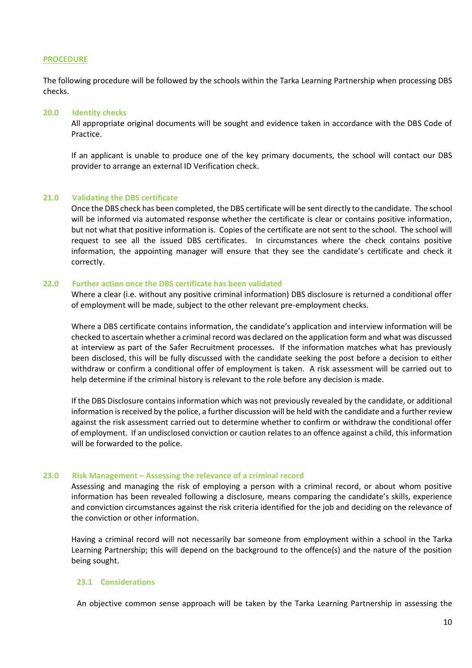#### <span id="page-9-0"></span>**PROCEDURE**

The following procedure will be followed by the schools within the Tarka Learning Partnership when processing DBS checks.

#### <span id="page-9-1"></span>**20.0 Identity checks**

All appropriate original documents will be sought and evidence taken in accordance with the DBS Code of Practice.

If an applicant is unable to produce one of the key primary documents, the school will contact our DBS provider to arrange an external ID Verification check.

#### <span id="page-9-2"></span>**21.0 Validating the DBS certificate**

Once the DBS check has been completed, the DBS certificate will be sent directly to the candidate. The school will be informed via automated response whether the certificate is clear or contains positive information, but not what that positive information is. Copies of the certificate are not sent to the school. The school will request to see all the issued DBS certificates. In circumstances where the check contains positive information, the appointing manager will ensure that they see the candidate's certificate and check it correctly.

# <span id="page-9-3"></span>**22.0 Further action once the DBS certificate has been validated**

Where a clear (i.e. without any positive criminal information) DBS disclosure is returned a conditional offer of employment will be made, subject to the other relevant pre-employment checks.

Where a DBS certificate contains information, the candidate's application and interview information will be checked to ascertain whether a criminal record was declared on the application form and what was discussed at interview as part of the Safer Recruitment processes. If the information matches what has previously been disclosed, this will be fully discussed with the candidate seeking the post before a decision to either withdraw or confirm a conditional offer of employment is taken. A risk assessment will be carried out to help determine if the criminal history is relevant to the role before any decision is made.

If the DBS Disclosure contains information which was not previously revealed by the candidate, or additional information is received by the police, a further discussion will be held with the candidate and a further review against the risk assessment carried out to determine whether to confirm or withdraw the conditional offer of employment. If an undisclosed conviction or caution relates to an offence against a child, this information will be forwarded to the police.

#### <span id="page-9-4"></span>**23.0 Risk Management – Assessing the relevance of a criminal record**

Assessing and managing the risk of employing a person with a criminal record, or about whom positive information has been revealed following a disclosure, means comparing the candidate's skills, experience and conviction circumstances against the risk criteria identified for the job and deciding on the relevance of the conviction or other information.

Having a criminal record will not necessarily bar someone from employment within a school in the Tarka Learning Partnership; this will depend on the background to the offence(s) and the nature of the position being sought.

#### <span id="page-9-5"></span>**23.1 Considerations**

An objective common sense approach will be taken by the Tarka Learning Partnership in assessing the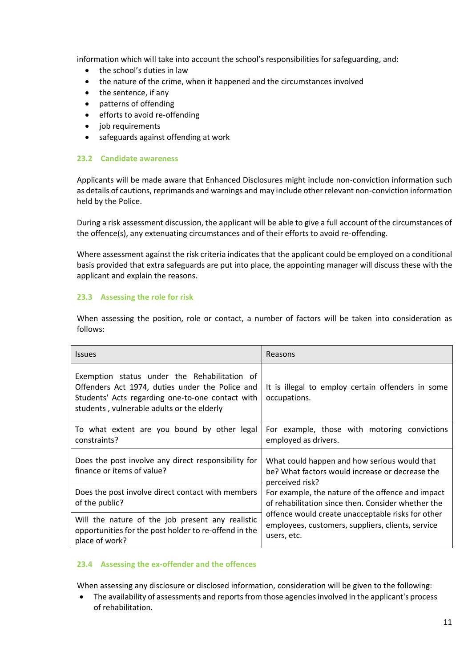information which will take into account the school's responsibilities for safeguarding, and:

- the school's duties in law
- the nature of the crime, when it happened and the circumstances involved
- the sentence, if any
- patterns of offending
- efforts to avoid re-offending
- job requirements
- safeguards against offending at work

# <span id="page-10-0"></span>**23.2 Candidate awareness**

Applicants will be made aware that Enhanced Disclosures might include non-conviction information such as details of cautions, reprimands and warnings and may include other relevant non-conviction information held by the Police.

During a risk assessment discussion, the applicant will be able to give a full account of the circumstances of the offence(s), any extenuating circumstances and of their efforts to avoid re-offending.

Where assessment against the risk criteria indicates that the applicant could be employed on a conditional basis provided that extra safeguards are put into place, the appointing manager will discuss these with the applicant and explain the reasons.

# <span id="page-10-1"></span>**23.3 Assessing the role for risk**

When assessing the position, role or contact, a number of factors will be taken into consideration as follows:

| <b>Issues</b>                                                                                                                                                                                     | Reasons                                                                                                                                                                                                                                             |  |
|---------------------------------------------------------------------------------------------------------------------------------------------------------------------------------------------------|-----------------------------------------------------------------------------------------------------------------------------------------------------------------------------------------------------------------------------------------------------|--|
| Exemption status under the Rehabilitation of<br>Offenders Act 1974, duties under the Police and<br>Students' Acts regarding one-to-one contact with<br>students, vulnerable adults or the elderly | It is illegal to employ certain offenders in some<br>occupations.                                                                                                                                                                                   |  |
| To what extent are you bound by other legal<br>constraints?                                                                                                                                       | For example, those with motoring convictions<br>employed as drivers.                                                                                                                                                                                |  |
| Does the post involve any direct responsibility for<br>finance or items of value?                                                                                                                 | What could happen and how serious would that<br>be? What factors would increase or decrease the                                                                                                                                                     |  |
| Does the post involve direct contact with members<br>of the public?                                                                                                                               | perceived risk?<br>For example, the nature of the offence and impact<br>of rehabilitation since then. Consider whether the<br>offence would create unacceptable risks for other<br>employees, customers, suppliers, clients, service<br>users, etc. |  |
| Will the nature of the job present any realistic<br>opportunities for the post holder to re-offend in the<br>place of work?                                                                       |                                                                                                                                                                                                                                                     |  |

# <span id="page-10-2"></span>**23.4 Assessing the ex-offender and the offences**

When assessing any disclosure or disclosed information, consideration will be given to the following:

• The availability of assessments and reports from those agencies involved in the applicant's process of rehabilitation.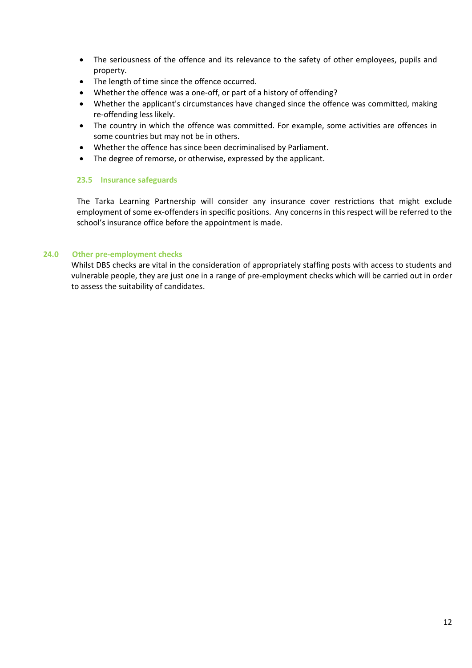- The seriousness of the offence and its relevance to the safety of other employees, pupils and property.
- The length of time since the offence occurred.
- Whether the offence was a one-off, or part of a history of offending?
- Whether the applicant's circumstances have changed since the offence was committed, making re-offending less likely.
- The country in which the offence was committed. For example, some activities are offences in some countries but may not be in others.
- Whether the offence has since been decriminalised by Parliament.
- The degree of remorse, or otherwise, expressed by the applicant.

# <span id="page-11-0"></span>**23.5 Insurance safeguards**

The Tarka Learning Partnership will consider any insurance cover restrictions that might exclude employment of some ex-offenders in specific positions. Any concerns in this respect will be referred to the school's insurance office before the appointment is made.

# <span id="page-11-1"></span>**24.0 Other pre-employment checks**

Whilst DBS checks are vital in the consideration of appropriately staffing posts with access to students and vulnerable people, they are just one in a range of pre-employment checks which will be carried out in order to assess the suitability of candidates.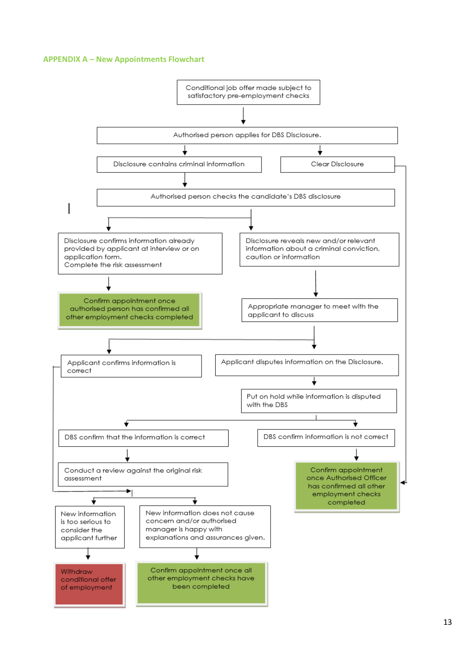#### **APPENDIX A – New Appointments Flowchart**

<span id="page-12-0"></span>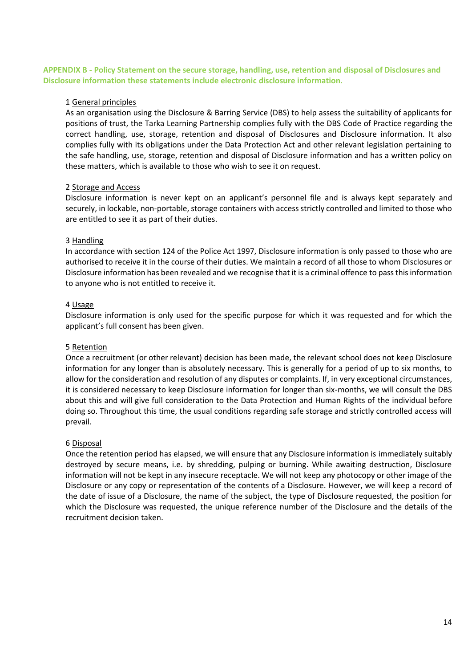# <span id="page-13-0"></span>**APPENDIX B - Policy Statement on the secure storage, handling, use, retention and disposal of Disclosures and Disclosure information these statements include electronic disclosure information.**

# 1 General principles

As an organisation using the Disclosure & Barring Service (DBS) to help assess the suitability of applicants for positions of trust, the Tarka Learning Partnership complies fully with the DBS Code of Practice regarding the correct handling, use, storage, retention and disposal of Disclosures and Disclosure information. It also complies fully with its obligations under the Data Protection Act and other relevant legislation pertaining to the safe handling, use, storage, retention and disposal of Disclosure information and has a written policy on these matters, which is available to those who wish to see it on request.

# 2 Storage and Access

Disclosure information is never kept on an applicant's personnel file and is always kept separately and securely, in lockable, non-portable, storage containers with access strictly controlled and limited to those who are entitled to see it as part of their duties.

# 3 Handling

In accordance with section 124 of the Police Act 1997, Disclosure information is only passed to those who are authorised to receive it in the course of their duties. We maintain a record of all those to whom Disclosures or Disclosure information has been revealed and we recognise that it is a criminal offence to pass this information to anyone who is not entitled to receive it.

# 4 Usage

Disclosure information is only used for the specific purpose for which it was requested and for which the applicant's full consent has been given.

# 5 Retention

Once a recruitment (or other relevant) decision has been made, the relevant school does not keep Disclosure information for any longer than is absolutely necessary. This is generally for a period of up to six months, to allow for the consideration and resolution of any disputes or complaints. If, in very exceptional circumstances, it is considered necessary to keep Disclosure information for longer than six-months, we will consult the DBS about this and will give full consideration to the Data Protection and Human Rights of the individual before doing so. Throughout this time, the usual conditions regarding safe storage and strictly controlled access will prevail.

# 6 Disposal

Once the retention period has elapsed, we will ensure that any Disclosure information is immediately suitably destroyed by secure means, i.e. by shredding, pulping or burning. While awaiting destruction, Disclosure information will not be kept in any insecure receptacle. We will not keep any photocopy or other image of the Disclosure or any copy or representation of the contents of a Disclosure. However, we will keep a record of the date of issue of a Disclosure, the name of the subject, the type of Disclosure requested, the position for which the Disclosure was requested, the unique reference number of the Disclosure and the details of the recruitment decision taken.